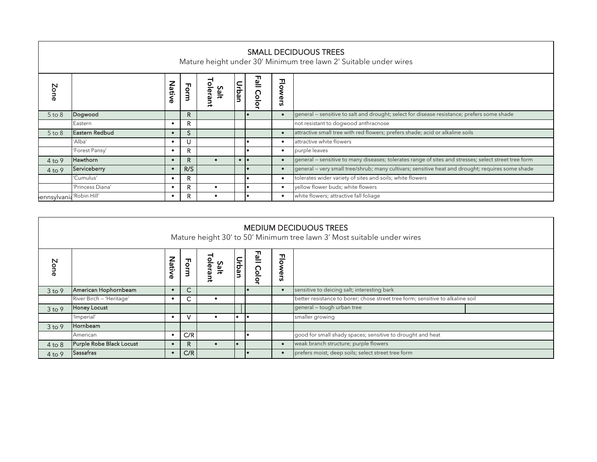| <b>SMALL DECIDUOUS TREES</b><br>Mature height under 30' Minimum tree lawn 2' Suitable under wires |                  |        |      |                      |           |                     |                |                                                                                                      |
|---------------------------------------------------------------------------------------------------|------------------|--------|------|----------------------|-----------|---------------------|----------------|------------------------------------------------------------------------------------------------------|
| Zone                                                                                              |                  | Native | Form | ᅿ<br>olerant<br>Salt | Urban     | <b>Fall</b><br>Colo | <b>Flowers</b> |                                                                                                      |
| $5$ to $8$                                                                                        | Dogwood          |        | R    |                      |           |                     |                | general – sensitive to salt and drought; select for disease resistance; prefers some shade           |
|                                                                                                   | Eastern          |        | R    |                      |           |                     |                | not resistant to dogwood anthracnose                                                                 |
| $5$ to $8$                                                                                        | Eastern Redbud   |        | S    |                      |           |                     |                | attractive small tree with red flowers; prefers shade; acid or alkaline soils                        |
|                                                                                                   | 'Alba'           |        | U    |                      |           |                     |                | attractive white flowers                                                                             |
|                                                                                                   | 'Forest Pansy'   |        | R    |                      |           |                     |                | purple leaves                                                                                        |
| $4$ to 9                                                                                          | Hawthorn         |        | R    |                      | $\bullet$ | l o                 |                | general – sensitive to many diseases; tolerates range of sites and stresses; select street tree form |
| $4$ to 9                                                                                          | Serviceberry     |        | R/S  |                      |           |                     |                | general – very small tree/shrub; many cultivars; sensitive heat and drought; requires some shade     |
|                                                                                                   | 'Cumulus'        |        | R.   |                      |           |                     |                | tolerates wider variety of sites and soils; white flowers                                            |
|                                                                                                   | 'Princess Diana' |        | R    |                      |           |                     |                | yellow flower buds; white flowers                                                                    |
| ennsylvania Robin Hill                                                                            |                  |        | R.   |                      |           |                     |                | white flowers; attractive fall foliage                                                               |

| <b>MEDIUM DECIDUOUS TREES</b><br>Mature height 30' to 50' Minimum tree lawn 3' Most suitable under wires |                          |            |      |                  |       |           |           |                                                                                |
|----------------------------------------------------------------------------------------------------------|--------------------------|------------|------|------------------|-------|-----------|-----------|--------------------------------------------------------------------------------|
| Zone                                                                                                     |                          | Nati<br>శ  | Form | Salt<br>era<br>₹ | Urban | 꾈<br>Colo | 공<br>ers  |                                                                                |
| $3$ to 9                                                                                                 | American Hophornbeam     | $\epsilon$ | C.   |                  |       |           | c         | sensitive to deicing salt; interesting bark                                    |
|                                                                                                          | River Birch - 'Heritage' |            | C.   |                  |       |           |           | better resistance to borer; chose street tree form; sensitive to alkaline soil |
| $3$ to $9$                                                                                               | <b>Honey Locust</b>      |            |      |                  |       |           |           | general - tough urban tree                                                     |
|                                                                                                          | 'Imperial'               |            |      |                  |       | I۰        |           | smaller growing                                                                |
| $3$ to 9                                                                                                 | Hornbeam                 |            |      |                  |       |           |           |                                                                                |
|                                                                                                          | American                 | ٠          | C/R  |                  |       |           |           | good for small shady spaces; sensitive to drought and heat                     |
| $4$ to $8$                                                                                               | Purple Robe Black Locust |            | R.   |                  |       |           | $\bullet$ | weak branch structure; purple flowers                                          |
| $4$ to 9                                                                                                 | <b>Sassafras</b>         | $\bullet$  | C/R  |                  |       |           |           | prefers moist, deep soils; select street tree form                             |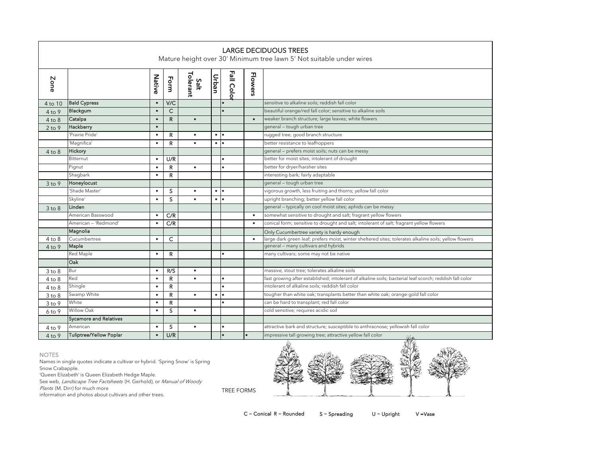| <b>LARGE DECIDUOUS TREES</b><br>Mature height over 30' Minimum tree lawn 5' Not suitable under wires |                               |           |              |                  |           |           |                |                                                                                                         |
|------------------------------------------------------------------------------------------------------|-------------------------------|-----------|--------------|------------------|-----------|-----------|----------------|---------------------------------------------------------------------------------------------------------|
| Zone                                                                                                 |                               | Native    | Form         | Tolerant<br>Salt | Urban     | Fall Colo | <b>Flowers</b> |                                                                                                         |
| 4 to 10                                                                                              | <b>Bald Cypress</b>           | $\bullet$ | V/C          |                  |           |           |                | sensitive to alkaline soils; reddish fall color                                                         |
| $4$ to 9                                                                                             | Blackgum                      | $\bullet$ | $\mathsf{C}$ |                  |           |           |                | beautiful orange/red fall color; sensitive to alkaline soils                                            |
| $4$ to $8$                                                                                           | Catalpa                       | $\bullet$ | $\mathsf{R}$ | $\bullet$        |           |           | $\bullet$      | weaker branch structure; large leaves; white flowers                                                    |
| $2$ to 9                                                                                             | Hackberry                     | $\bullet$ |              |                  |           |           |                | general - tough urban tree                                                                              |
|                                                                                                      | 'Prairie Pride'               | $\bullet$ | R            | $\bullet$        | $\bullet$ | $\bullet$ |                | rugged tree; good branch structure                                                                      |
|                                                                                                      | 'Magnifica'                   | $\bullet$ | $\mathsf{R}$ | $\bullet$        | $\bullet$ | $\bullet$ |                | better resistance to leafhoppers                                                                        |
| $4$ to $8$                                                                                           | Hickory                       |           |              |                  |           |           |                | general - prefers moist soils; nuts can be messy                                                        |
|                                                                                                      | Bitternut                     | $\bullet$ | U/R          |                  |           |           |                | better for moist sites; intolerant of drought                                                           |
|                                                                                                      | Pignut                        | $\bullet$ | R            | $\bullet$        |           | $\bullet$ |                | better for dryer/harsher sites                                                                          |
|                                                                                                      | Shagbark                      | $\bullet$ | R            |                  |           |           |                | interesting bark; fairly adaptable                                                                      |
| $3$ to $9$                                                                                           | Honeylocust                   |           |              |                  |           |           |                | general - tough urban tree                                                                              |
|                                                                                                      | 'Shade Master'                | $\bullet$ | S            | $\bullet$        | $\bullet$ | ٠         |                | vigorous growth, less fruiting and thorns; yellow fall color                                            |
|                                                                                                      | Skyline'                      | $\bullet$ | S            | $\bullet$        | $\bullet$ | $\bullet$ |                | upright branching; better yellow fall color                                                             |
| $3$ to $8$                                                                                           | Linden                        |           |              |                  |           |           |                | general - typically on cool moist sites; aphids can be messy                                            |
|                                                                                                      | American Basswood             | $\bullet$ | C/R          |                  |           |           | $\bullet$      | somewhat sensitive to drought and salt; fragrant yellow flowers                                         |
|                                                                                                      | American - 'Redmond'          | $\bullet$ | C/R          |                  |           |           | $\bullet$      | conical form; sensitive to drought and salt; intolerant of salt; fragrant yellow flowers                |
|                                                                                                      | Magnolia                      |           |              |                  |           |           |                | Only Cucumbertree variety is hardy enough                                                               |
| $4$ to $8$                                                                                           | Cucumbertree                  | $\bullet$ | C            |                  |           |           | $\bullet$      | large dark green leaf; prefers moist, winter sheltered sites; tolerates alkaline soils; yellow flowers  |
| $4$ to 9                                                                                             | Maple                         |           |              |                  |           |           |                | general - many cultivars and hybrids                                                                    |
|                                                                                                      | Red Maple                     | $\bullet$ | R            |                  |           |           |                | many cultivars; some may not be native                                                                  |
|                                                                                                      | Oak                           |           |              |                  |           |           |                |                                                                                                         |
| $3$ to $8$                                                                                           | Bur                           | $\bullet$ | R/S          | $\bullet$        |           |           |                | massive, stout tree; tolerates alkaline soils                                                           |
| $4$ to $8$                                                                                           | Red                           | $\bullet$ | $\mathsf{R}$ | $\bullet$        |           | $\bullet$ |                | fast growing after established; intolerant of alkaline soils; bacterial leaf scorch; reddish fall color |
| $4$ to $8$                                                                                           | Shingle                       | $\bullet$ | R            |                  |           | $\bullet$ |                | intolerant of alkaline soils: reddish fall color                                                        |
| $3$ to $8$                                                                                           | Swamp White                   | $\bullet$ | $\mathsf{R}$ | $\bullet$        | $\bullet$ | $\bullet$ |                | tougher than white oak; transplants better than white oak; orange-gold fall color                       |
| 3 to 9                                                                                               | White                         | $\bullet$ | $\mathsf{R}$ |                  |           | $\bullet$ |                | can be hard to transplant; red fall color                                                               |
| $6$ to $9$                                                                                           | Willow Oak                    | $\bullet$ | S            | $\bullet$        |           |           |                | cold sensitive; requires acidic soil                                                                    |
|                                                                                                      | <b>Sycamore and Relatives</b> |           |              |                  |           |           |                |                                                                                                         |
| 4 to 9                                                                                               | American                      | $\bullet$ | s            | $\bullet$        |           | $\bullet$ |                | attractive bark and structure; susceptible to anthracnose; yellowish fall color                         |
| $4$ to 9                                                                                             | Tuliptree/Yellow Poplar       | $\bullet$ | U/R          |                  |           |           |                | impressive tall growing tree; attractive yellow fall color<br>48.6                                      |

## NOTES

Names in single quotes indicate a cultivar or hybrid. 'Spring Snow' is Spring Snow Crabapple.

'Queen Elizabeth' is Queen Elizabeth Hedge Maple.

See web, Landscape Tree Factsheets (H. Gerhold), or Manual of Woody

Plants (M. Dirr) for much more

information and photos about cultivars and other trees.



 $C =$  Conical R = Rounded  $S =$  Spreading U = Upright V = Vase